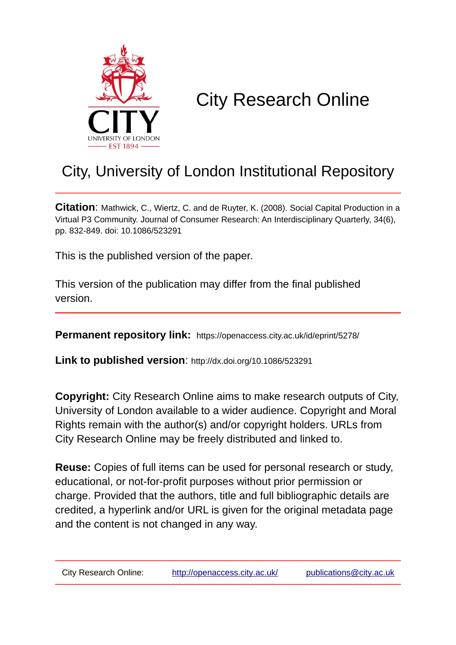

# City Research Online

# City, University of London Institutional Repository

**Citation**: Mathwick, C., Wiertz, C. and de Ruyter, K. (2008). Social Capital Production in a Virtual P3 Community. Journal of Consumer Research: An Interdisciplinary Quarterly, 34(6), pp. 832-849. doi: 10.1086/523291

This is the published version of the paper.

This version of the publication may differ from the final published version.

**Permanent repository link:** https://openaccess.city.ac.uk/id/eprint/5278/

**Link to published version**: http://dx.doi.org/10.1086/523291

**Copyright:** City Research Online aims to make research outputs of City, University of London available to a wider audience. Copyright and Moral Rights remain with the author(s) and/or copyright holders. URLs from City Research Online may be freely distributed and linked to.

**Reuse:** Copies of full items can be used for personal research or study, educational, or not-for-profit purposes without prior permission or charge. Provided that the authors, title and full bibliographic details are credited, a hyperlink and/or URL is given for the original metadata page and the content is not changed in any way.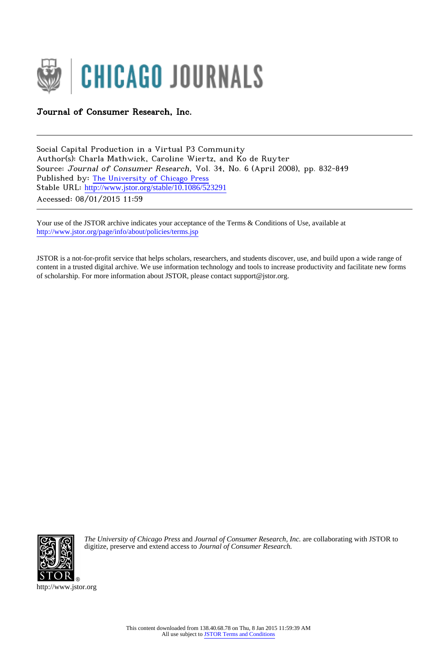

# Journal of Consumer Research, Inc.

Social Capital Production in a Virtual P3 Community Author(s): Charla Mathwick, Caroline Wiertz, and Ko de Ruyter Source: Journal of Consumer Research, Vol. 34, No. 6 (April 2008), pp. 832-849 Published by: [The University of Chicago Press](http://www.jstor.org/action/showPublisher?publisherCode=ucpress) Stable URL: http://www.jstor.org/stable/10.1086/523291 Accessed: 08/01/2015 11:59

Your use of the JSTOR archive indicates your acceptance of the Terms & Conditions of Use, available at <http://www.jstor.org/page/info/about/policies/terms.jsp>

JSTOR is a not-for-profit service that helps scholars, researchers, and students discover, use, and build upon a wide range of content in a trusted digital archive. We use information technology and tools to increase productivity and facilitate new forms of scholarship. For more information about JSTOR, please contact support@jstor.org.



*The University of Chicago Press* and *Journal of Consumer Research, Inc.* are collaborating with JSTOR to digitize, preserve and extend access to *Journal of Consumer Research.*

http://www.jstor.org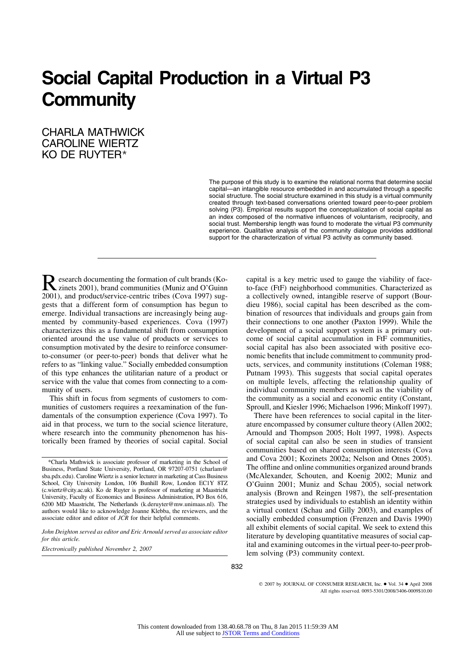# **Social Capital Production in a Virtual P3 Community**

# CHARLA MATHWICK CAROLINE WIERTZ KO DE RUYTER\*

The purpose of this study is to examine the relational norms that determine social capital—an intangible resource embedded in and accumulated through a specific social structure. The social structure examined in this study is a virtual community created through text-based conversations oriented toward peer-to-peer problem solving (P3). Empirical results support the conceptualization of social capital as an index composed of the normative influences of voluntarism, reciprocity, and social trust. Membership length was found to moderate the virtual P3 community experience. Qualitative analysis of the community dialogue provides additional support for the characterization of virtual P3 activity as community based.

Research documenting the formation of cult brands (Ko-<br>zinets 2001), brand communities (Muniz and O'Guinn<br>2001), and product/corrige centric tribes (Gaus 1007) sug-2001), and product/service-centric tribes (Cova 1997) suggests that a different form of consumption has begun to emerge. Individual transactions are increasingly being augmented by community-based experiences. Cova (1997) characterizes this as a fundamental shift from consumption oriented around the use value of products or services to consumption motivated by the desire to reinforce consumerto-consumer (or peer-to-peer) bonds that deliver what he refers to as "linking value." Socially embedded consumption of this type enhances the utilitarian nature of a product or service with the value that comes from connecting to a community of users.

This shift in focus from segments of customers to communities of customers requires a reexamination of the fundamentals of the consumption experience (Cova 1997). To aid in that process, we turn to the social science literature, where research into the community phenomenon has historically been framed by theories of social capital. Social

\*Charla Mathwick is associate professor of marketing in the School of Business, Portland State University, Portland, OR 97207-0751 (charlam@ sba.pdx.edu). Caroline Wiertz is a senior lecturer in marketing at Cass Business School, City University London, 106 Bunhill Row, London EC1Y 8TZ (c.wiertz@city.ac.uk). Ko de Ruyter is professor of marketing at Maastricht University, Faculty of Economics and Business Administration, PO Box 616, 6200 MD Maastricht, The Netherlands (k.deruyter@mw.unimaas.nl). The authors would like to acknowledge Joanne Klebba, the reviewers, and the associate editor and editor of *JCR* for their helpful comments.

*John Deighton served as editor and Eric Arnould served as associate editor for this article.*

*Electronically published November 2, 2007*

capital is a key metric used to gauge the viability of faceto-face (FtF) neighborhood communities. Characterized as a collectively owned, intangible reserve of support (Bourdieu 1986), social capital has been described as the combination of resources that individuals and groups gain from their connections to one another (Paxton 1999). While the development of a social support system is a primary outcome of social capital accumulation in FtF communities, social capital has also been associated with positive economic benefits that include commitment to community products, services, and community institutions (Coleman 1988; Putnam 1993). This suggests that social capital operates on multiple levels, affecting the relationship quality of individual community members as well as the viability of the community as a social and economic entity (Constant, Sproull, and Kiesler 1996; Michaelson 1996; Minkoff 1997).

There have been references to social capital in the literature encompassed by consumer culture theory (Allen 2002; Arnould and Thompson 2005; Holt 1997, 1998). Aspects of social capital can also be seen in studies of transient communities based on shared consumption interests (Cova and Cova 2001; Kozinets 2002a; Nelson and Otnes 2005). The offline and online communities organized around brands (McAlexander, Schouten, and Koenig 2002; Muniz and O'Guinn 2001; Muniz and Schau 2005), social network analysis (Brown and Reingen 1987), the self-presentation strategies used by individuals to establish an identity within a virtual context (Schau and Gilly 2003), and examples of socially embedded consumption (Frenzen and Davis 1990) all exhibit elements of social capital. We seek to extend this literature by developing quantitative measures of social capital and examining outcomes in the virtual peer-to-peer problem solving (P3) community context.

832

2007 by JOURNAL OF CONSUMER RESEARCH, Inc. ● Vol. 34 ● April 2008 All rights reserved. 0093-5301/2008/3406-0009\$10.00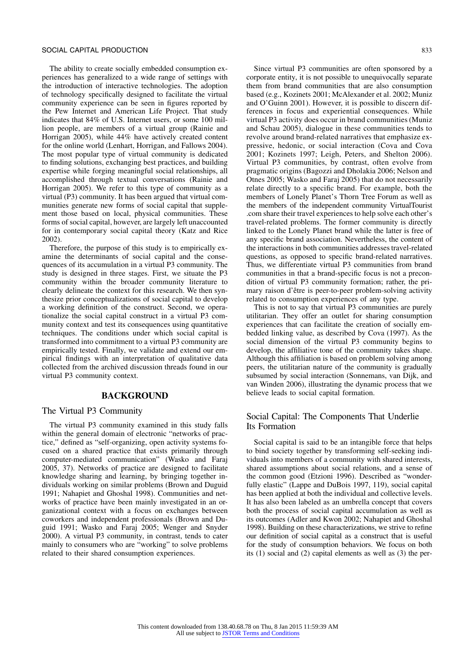The ability to create socially embedded consumption experiences has generalized to a wide range of settings with the introduction of interactive technologies. The adoption of technology specifically designed to facilitate the virtual community experience can be seen in figures reported by the Pew Internet and American Life Project. That study indicates that 84% of U.S. Internet users, or some 100 million people, are members of a virtual group (Rainie and Horrigan 2005), while 44% have actively created content for the online world (Lenhart, Horrigan, and Fallows 2004). The most popular type of virtual community is dedicated to finding solutions, exchanging best practices, and building expertise while forging meaningful social relationships, all accomplished through textual conversations (Rainie and Horrigan 2005). We refer to this type of community as a virtual (P3) community. It has been argued that virtual communities generate new forms of social capital that supplement those based on local, physical communities. These forms of social capital, however, are largely left unaccounted for in contemporary social capital theory (Katz and Rice 2002).

Therefore, the purpose of this study is to empirically examine the determinants of social capital and the consequences of its accumulation in a virtual P3 community. The study is designed in three stages. First, we situate the P3 community within the broader community literature to clearly delineate the context for this research. We then synthesize prior conceptualizations of social capital to develop a working definition of the construct. Second, we operationalize the social capital construct in a virtual P3 community context and test its consequences using quantitative techniques. The conditions under which social capital is transformed into commitment to a virtual P3 community are empirically tested. Finally, we validate and extend our empirical findings with an interpretation of qualitative data collected from the archived discussion threads found in our virtual P3 community context.

# **BACKGROUND**

#### The Virtual P3 Community

The virtual P3 community examined in this study falls within the general domain of electronic "networks of practice," defined as "self-organizing, open activity systems focused on a shared practice that exists primarily through computer-mediated communication" (Wasko and Faraj 2005, 37). Networks of practice are designed to facilitate knowledge sharing and learning, by bringing together individuals working on similar problems (Brown and Duguid 1991; Nahapiet and Ghoshal 1998). Communities and networks of practice have been mainly investigated in an organizational context with a focus on exchanges between coworkers and independent professionals (Brown and Duguid 1991; Wasko and Faraj 2005; Wenger and Snyder 2000). A virtual P3 community, in contrast, tends to cater mainly to consumers who are "working" to solve problems related to their shared consumption experiences.

Since virtual P3 communities are often sponsored by a corporate entity, it is not possible to unequivocally separate them from brand communities that are also consumption based (e.g., Kozinets 2001; McAlexander et al. 2002; Muniz and O'Guinn 2001). However, it is possible to discern differences in focus and experiential consequences. While virtual P3 activity does occur in brand communities (Muniz and Schau 2005), dialogue in these communities tends to revolve around brand-related narratives that emphasize expressive, hedonic, or social interaction (Cova and Cova 2001; Kozinets 1997; Leigh, Peters, and Shelton 2006). Virtual P3 communities, by contrast, often evolve from pragmatic origins (Bagozzi and Dholakia 2006; Nelson and Otnes 2005; Wasko and Faraj 2005) that do not necessarily relate directly to a specific brand. For example, both the members of Lonely Planet's Thorn Tree Forum as well as the members of the independent community VirtualTourist .com share their travel experiences to help solve each other's travel-related problems. The former community is directly linked to the Lonely Planet brand while the latter is free of any specific brand association. Nevertheless, the content of the interactions in both communities addresses travel-related questions, as opposed to specific brand-related narratives. Thus, we differentiate virtual P3 communities from brand communities in that a brand-specific focus is not a precondition of virtual P3 community formation; rather, the primary raison d'être is peer-to-peer problem-solving activity related to consumption experiences of any type.

This is not to say that virtual P3 communities are purely utilitarian. They offer an outlet for sharing consumption experiences that can facilitate the creation of socially embedded linking value, as described by Cova (1997). As the social dimension of the virtual P3 community begins to develop, the affiliative tone of the community takes shape. Although this affiliation is based on problem solving among peers, the utilitarian nature of the community is gradually subsumed by social interaction (Sonnemans, van Dijk, and van Winden 2006), illustrating the dynamic process that we believe leads to social capital formation.

### Social Capital: The Components That Underlie Its Formation

Social capital is said to be an intangible force that helps to bind society together by transforming self-seeking individuals into members of a community with shared interests, shared assumptions about social relations, and a sense of the common good (Etzioni 1996). Described as "wonderfully elastic" (Lappe and DuBois 1997, 119), social capital has been applied at both the individual and collective levels. It has also been labeled as an umbrella concept that covers both the process of social capital accumulation as well as its outcomes (Adler and Kwon 2002; Nahapiet and Ghoshal 1998). Building on these characterizations, we strive to refine our definition of social capital as a construct that is useful for the study of consumption behaviors. We focus on both its (1) social and (2) capital elements as well as (3) the per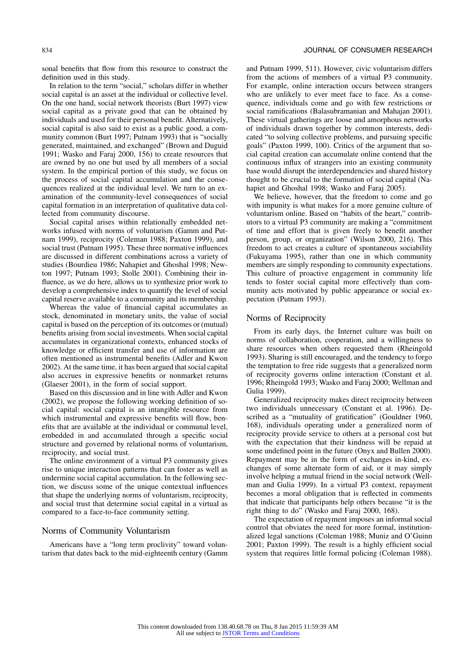sonal benefits that flow from this resource to construct the definition used in this study.

In relation to the term "social," scholars differ in whether social capital is an asset at the individual or collective level. On the one hand, social network theorists (Burt 1997) view social capital as a private good that can be obtained by individuals and used for their personal benefit. Alternatively, social capital is also said to exist as a public good, a community common (Burt 1997; Putnam 1993) that is "socially generated, maintained, and exchanged" (Brown and Duguid 1991; Wasko and Faraj 2000, 156) to create resources that are owned by no one but used by all members of a social system. In the empirical portion of this study, we focus on the process of social capital accumulation and the consequences realized at the individual level. We turn to an examination of the community-level consequences of social capital formation in an interpretation of qualitative data collected from community discourse.

Social capital arises within relationally embedded networks infused with norms of voluntarism (Gamm and Putnam 1999), reciprocity (Coleman 1988; Paxton 1999), and social trust (Putnam 1995). These three normative influences are discussed in different combinations across a variety of studies (Bourdieu 1986; Nahapiet and Ghoshal 1998; Newton 1997; Putnam 1993; Stolle 2001). Combining their influence, as we do here, allows us to synthesize prior work to develop a comprehensive index to quantify the level of social capital reserve available to a community and its membership.

Whereas the value of financial capital accumulates as stock, denominated in monetary units, the value of social capital is based on the perception of its outcomes or (mutual) benefits arising from social investments. When social capital accumulates in organizational contexts, enhanced stocks of knowledge or efficient transfer and use of information are often mentioned as instrumental benefits (Adler and Kwon 2002). At the same time, it has been argued that social capital also accrues in expressive benefits or nonmarket returns (Glaeser 2001), in the form of social support.

Based on this discussion and in line with Adler and Kwon (2002), we propose the following working definition of social capital: social capital is an intangible resource from which instrumental and expressive benefits will flow, benefits that are available at the individual or communal level, embedded in and accumulated through a specific social structure and governed by relational norms of voluntarism, reciprocity, and social trust.

The online environment of a virtual P3 community gives rise to unique interaction patterns that can foster as well as undermine social capital accumulation. In the following section, we discuss some of the unique contextual influences that shape the underlying norms of voluntarism, reciprocity, and social trust that determine social capital in a virtual as compared to a face-to-face community setting.

# Norms of Community Voluntarism

Americans have a "long term proclivity" toward voluntarism that dates back to the mid-eighteenth century (Gamm

and Putnam 1999, 511). However, civic voluntarism differs from the actions of members of a virtual P3 community. For example, online interaction occurs between strangers who are unlikely to ever meet face to face. As a consequence, individuals come and go with few restrictions or social ramifications (Balasubramanian and Mahajan 2001). These virtual gatherings are loose and amorphous networks of individuals drawn together by common interests, dedicated "to solving collective problems, and pursuing specific goals" (Paxton 1999, 100). Critics of the argument that social capital creation can accumulate online contend that the continuous influx of strangers into an existing community base would disrupt the interdependencies and shared history thought to be crucial to the formation of social capital (Nahapiet and Ghoshal 1998; Wasko and Faraj 2005).

We believe, however, that the freedom to come and go with impunity is what makes for a more genuine culture of voluntarism online. Based on "habits of the heart," contributors to a virtual P3 community are making a "commitment of time and effort that is given freely to benefit another person, group, or organization" (Wilson 2000, 216). This freedom to act creates a culture of spontaneous sociability (Fukuyama 1995), rather than one in which community members are simply responding to community expectations. This culture of proactive engagement in community life tends to foster social capital more effectively than community acts motivated by public appearance or social expectation (Putnam 1993).

### Norms of Reciprocity

From its early days, the Internet culture was built on norms of collaboration, cooperation, and a willingness to share resources when others requested them (Rheingold 1993). Sharing is still encouraged, and the tendency to forgo the temptation to free ride suggests that a generalized norm of reciprocity governs online interaction (Constant et al. 1996; Rheingold 1993; Wasko and Faraj 2000; Wellman and Gulia 1999).

Generalized reciprocity makes direct reciprocity between two individuals unnecessary (Constant et al. 1996). Described as a "mutuality of gratification" (Gouldner 1960, 168), individuals operating under a generalized norm of reciprocity provide service to others at a personal cost but with the expectation that their kindness will be repaid at some undefined point in the future (Onyx and Bullen 2000). Repayment may be in the form of exchanges in-kind, exchanges of some alternate form of aid, or it may simply involve helping a mutual friend in the social network (Wellman and Gulia 1999). In a virtual P3 context, repayment becomes a moral obligation that is reflected in comments that indicate that participants help others because "it is the right thing to do" (Wasko and Faraj 2000, 168).

The expectation of repayment imposes an informal social control that obviates the need for more formal, institutionalized legal sanctions (Coleman 1988; Muniz and O'Guinn 2001; Paxton 1999). The result is a highly efficient social system that requires little formal policing (Coleman 1988).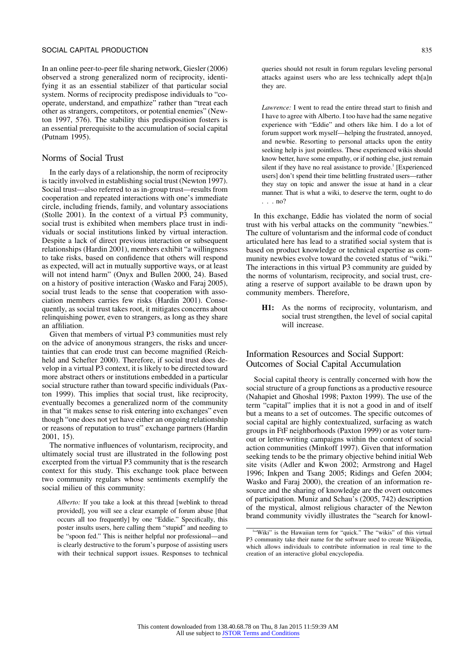In an online peer-to-peer file sharing network, Giesler (2006) observed a strong generalized norm of reciprocity, identifying it as an essential stabilizer of that particular social system. Norms of reciprocity predispose individuals to "cooperate, understand, and empathize" rather than "treat each other as strangers, competitors, or potential enemies" (Newton 1997, 576). The stability this predisposition fosters is an essential prerequisite to the accumulation of social capital (Putnam 1995).

# Norms of Social Trust

In the early days of a relationship, the norm of reciprocity is tacitly involved in establishing social trust (Newton 1997). Social trust—also referred to as in-group trust—results from cooperation and repeated interactions with one's immediate circle, including friends, family, and voluntary associations (Stolle 2001). In the context of a virtual P3 community, social trust is exhibited when members place trust in individuals or social institutions linked by virtual interaction. Despite a lack of direct previous interaction or subsequent relationships (Hardin 2001), members exhibit "a willingness to take risks, based on confidence that others will respond as expected, will act in mutually supportive ways, or at least will not intend harm" (Onyx and Bullen 2000, 24). Based on a history of positive interaction (Wasko and Faraj 2005), social trust leads to the sense that cooperation with association members carries few risks (Hardin 2001). Consequently, as social trust takes root, it mitigates concerns about relinquishing power, even to strangers, as long as they share an affiliation.

Given that members of virtual P3 communities must rely on the advice of anonymous strangers, the risks and uncertainties that can erode trust can become magnified (Reichheld and Schefter 2000). Therefore, if social trust does develop in a virtual P3 context, it is likely to be directed toward more abstract others or institutions embedded in a particular social structure rather than toward specific individuals (Paxton 1999). This implies that social trust, like reciprocity, eventually becomes a generalized norm of the community in that "it makes sense to risk entering into exchanges" even though "one does not yet have either an ongoing relationship or reasons of reputation to trust" exchange partners (Hardin 2001, 15).

The normative influences of voluntarism, reciprocity, and ultimately social trust are illustrated in the following post excerpted from the virtual P3 community that is the research context for this study. This exchange took place between two community regulars whose sentiments exemplify the social milieu of this community:

*Alberto:* If you take a look at this thread [weblink to thread provided], you will see a clear example of forum abuse [that occurs all too frequently] by one "Eddie." Specifically, this poster insults users, here calling them "stupid" and needing to be "spoon fed." This is neither helpful nor professional—and is clearly destructive to the forum's purpose of assisting users with their technical support issues. Responses to technical queries should not result in forum regulars leveling personal attacks against users who are less technically adept th[a]n they are.

*Lawrence:* I went to read the entire thread start to finish and I have to agree with Alberto. I too have had the same negative experience with "Eddie" and others like him. I do a lot of forum support work myself—helping the frustrated, annoyed, and newbie. Resorting to personal attacks upon the entity seeking help is just pointless. These experienced wikis should know better, have some empathy, or if nothing else, just remain silent if they have no real assistance to provide.<sup>1</sup> [Experienced users] don't spend their time belittling frustrated users—rather they stay on topic and answer the issue at hand in a clear manner. That is what a wiki, to deserve the term, ought to do . . . no?

In this exchange, Eddie has violated the norm of social trust with his verbal attacks on the community "newbies." The culture of voluntarism and the informal code of conduct articulated here has lead to a stratified social system that is based on product knowledge or technical expertise as community newbies evolve toward the coveted status of "wiki." The interactions in this virtual P3 community are guided by the norms of voluntarism, reciprocity, and social trust, creating a reserve of support available to be drawn upon by community members. Therefore,

**H1:** As the norms of reciprocity, voluntarism, and social trust strengthen, the level of social capital will increase.

# Information Resources and Social Support: Outcomes of Social Capital Accumulation

Social capital theory is centrally concerned with how the social structure of a group functions as a productive resource (Nahapiet and Ghoshal 1998; Paxton 1999). The use of the term "capital" implies that it is not a good in and of itself but a means to a set of outcomes. The specific outcomes of social capital are highly contextualized, surfacing as watch groups in FtF neighborhoods (Paxton 1999) or as voter turnout or letter-writing campaigns within the context of social action communities (Minkoff 1997). Given that information seeking tends to be the primary objective behind initial Web site visits (Adler and Kwon 2002; Armstrong and Hagel 1996; Inkpen and Tsang 2005; Ridings and Gefen 2004; Wasko and Faraj 2000), the creation of an information resource and the sharing of knowledge are the overt outcomes of participation. Muniz and Schau's (2005, 742) description of the mystical, almost religious character of the Newton brand community vividly illustrates the "search for knowl-

<sup>1</sup> "Wiki" is the Hawaiian term for "quick." The "wikis" of this virtual P3 community take their name for the software used to create Wikipedia, which allows individuals to contribute information in real time to the creation of an interactive global encyclopedia.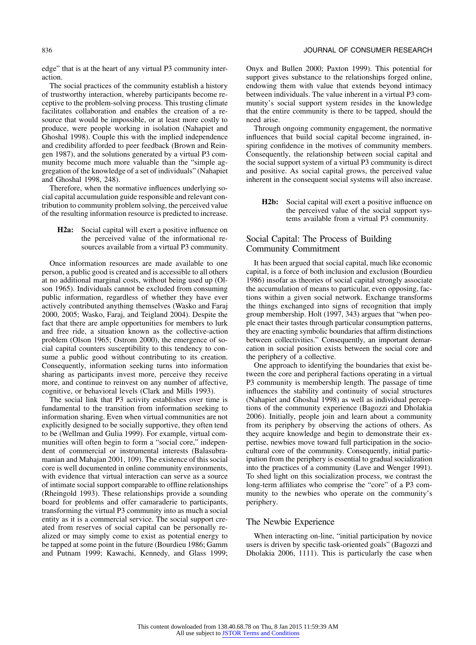edge" that is at the heart of any virtual P3 community interaction.

The social practices of the community establish a history of trustworthy interaction, whereby participants become receptive to the problem-solving process. This trusting climate facilitates collaboration and enables the creation of a resource that would be impossible, or at least more costly to produce, were people working in isolation (Nahapiet and Ghoshal 1998). Couple this with the implied independence and credibility afforded to peer feedback (Brown and Reingen 1987), and the solutions generated by a virtual P3 community become much more valuable than the "simple aggregation of the knowledge of a set of individuals" (Nahapiet and Ghoshal 1998, 248).

Therefore, when the normative influences underlying social capital accumulation guide responsible and relevant contribution to community problem solving, the perceived value of the resulting information resource is predicted to increase.

**H2a:** Social capital will exert a positive influence on the perceived value of the informational resources available from a virtual P3 community.

Once information resources are made available to one person, a public good is created and is accessible to all others at no additional marginal costs, without being used up (Olson 1965). Individuals cannot be excluded from consuming public information, regardless of whether they have ever actively contributed anything themselves (Wasko and Faraj 2000, 2005; Wasko, Faraj, and Teigland 2004). Despite the fact that there are ample opportunities for members to lurk and free ride, a situation known as the collective-action problem (Olson 1965; Ostrom 2000), the emergence of social capital counters susceptibility to this tendency to consume a public good without contributing to its creation. Consequently, information seeking turns into information sharing as participants invest more, perceive they receive more, and continue to reinvest on any number of affective, cognitive, or behavioral levels (Clark and Mills 1993).

The social link that P3 activity establishes over time is fundamental to the transition from information seeking to information sharing. Even when virtual communities are not explicitly designed to be socially supportive, they often tend to be (Wellman and Gulia 1999). For example, virtual communities will often begin to form a "social core," independent of commercial or instrumental interests (Balasubramanian and Mahajan 2001, 109). The existence of this social core is well documented in online community environments, with evidence that virtual interaction can serve as a source of intimate social support comparable to offline relationships (Rheingold 1993). These relationships provide a sounding board for problems and offer camaraderie to participants, transforming the virtual P3 community into as much a social entity as it is a commercial service. The social support created from reserves of social capital can be personally realized or may simply come to exist as potential energy to be tapped at some point in the future (Bourdieu 1986; Gamm and Putnam 1999; Kawachi, Kennedy, and Glass 1999; Onyx and Bullen 2000; Paxton 1999). This potential for support gives substance to the relationships forged online, endowing them with value that extends beyond intimacy between individuals. The value inherent in a virtual P3 community's social support system resides in the knowledge that the entire community is there to be tapped, should the need arise.

Through ongoing community engagement, the normative influences that build social capital become ingrained, inspiring confidence in the motives of community members. Consequently, the relationship between social capital and the social support system of a virtual P3 community is direct and positive. As social capital grows, the perceived value inherent in the consequent social systems will also increase.

**H2b:** Social capital will exert a positive influence on the perceived value of the social support systems available from a virtual P3 community.

# Social Capital: The Process of Building Community Commitment

It has been argued that social capital, much like economic capital, is a force of both inclusion and exclusion (Bourdieu 1986) insofar as theories of social capital strongly associate the accumulation of means to particular, even opposing, factions within a given social network. Exchange transforms the things exchanged into signs of recognition that imply group membership. Holt (1997, 343) argues that "when people enact their tastes through particular consumption patterns, they are enacting symbolic boundaries that affirm distinctions between collectivities." Consequently, an important demarcation in social position exists between the social core and the periphery of a collective.

One approach to identifying the boundaries that exist between the core and peripheral factions operating in a virtual P3 community is membership length. The passage of time influences the stability and continuity of social structures (Nahapiet and Ghoshal 1998) as well as individual perceptions of the community experience (Bagozzi and Dholakia 2006). Initially, people join and learn about a community from its periphery by observing the actions of others. As they acquire knowledge and begin to demonstrate their expertise, newbies move toward full participation in the sociocultural core of the community. Consequently, initial participation from the periphery is essential to gradual socialization into the practices of a community (Lave and Wenger 1991). To shed light on this socialization process, we contrast the long-term affiliates who comprise the "core" of a P3 community to the newbies who operate on the community's periphery.

# The Newbie Experience

When interacting on-line, "initial participation by novice users is driven by specific task-oriented goals" (Bagozzi and Dholakia 2006, 1111). This is particularly the case when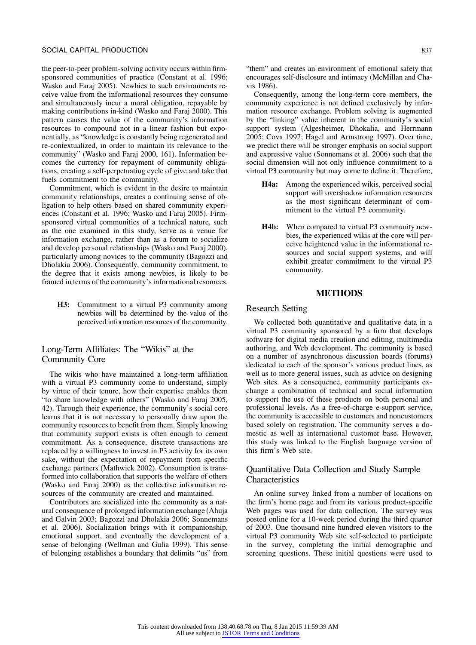the peer-to-peer problem-solving activity occurs within firmsponsored communities of practice (Constant et al. 1996; Wasko and Faraj 2005). Newbies to such environments receive value from the informational resources they consume and simultaneously incur a moral obligation, repayable by making contributions in-kind (Wasko and Faraj 2000). This pattern causes the value of the community's information resources to compound not in a linear fashion but exponentially, as "knowledge is constantly being regenerated and re-contextualized, in order to maintain its relevance to the community" (Wasko and Faraj 2000, 161). Information becomes the currency for repayment of community obligations, creating a self-perpetuating cycle of give and take that fuels commitment to the community.

Commitment, which is evident in the desire to maintain community relationships, creates a continuing sense of obligation to help others based on shared community experiences (Constant et al. 1996; Wasko and Faraj 2005). Firmsponsored virtual communities of a technical nature, such as the one examined in this study, serve as a venue for information exchange, rather than as a forum to socialize and develop personal relationships (Wasko and Faraj 2000), particularly among novices to the community (Bagozzi and Dholakia 2006). Consequently, community commitment, to the degree that it exists among newbies, is likely to be framed in terms of the community's informational resources.

**H3:** Commitment to a virtual P3 community among newbies will be determined by the value of the perceived information resources of the community.

# Long-Term Affiliates: The "Wikis" at the Community Core

The wikis who have maintained a long-term affiliation with a virtual P3 community come to understand, simply by virtue of their tenure, how their expertise enables them "to share knowledge with others" (Wasko and Faraj 2005, 42). Through their experience, the community's social core learns that it is not necessary to personally draw upon the community resources to benefit from them. Simply knowing that community support exists is often enough to cement commitment. As a consequence, discrete transactions are replaced by a willingness to invest in P3 activity for its own sake, without the expectation of repayment from specific exchange partners (Mathwick 2002). Consumption is transformed into collaboration that supports the welfare of others (Wasko and Faraj 2000) as the collective information resources of the community are created and maintained.

Contributors are socialized into the community as a natural consequence of prolonged information exchange (Ahuja and Galvin 2003; Bagozzi and Dholakia 2006; Sonnemans et al. 2006). Socialization brings with it companionship, emotional support, and eventually the development of a sense of belonging (Wellman and Gulia 1999). This sense of belonging establishes a boundary that delimits "us" from

"them" and creates an environment of emotional safety that encourages self-disclosure and intimacy (McMillan and Chavis 1986).

Consequently, among the long-term core members, the community experience is not defined exclusively by information resource exchange. Problem solving is augmented by the "linking" value inherent in the community's social support system (Algesheimer, Dhokalia, and Herrmann 2005; Cova 1997; Hagel and Armstrong 1997). Over time, we predict there will be stronger emphasis on social support and expressive value (Sonnemans et al. 2006) such that the social dimension will not only influence commitment to a virtual P3 community but may come to define it. Therefore,

- **H4a:** Among the experienced wikis, perceived social support will overshadow information resources as the most significant determinant of commitment to the virtual P3 community.
- **H4b:** When compared to virtual P3 community newbies, the experienced wikis at the core will perceive heightened value in the informational resources and social support systems, and will exhibit greater commitment to the virtual P3 community.

# **METHODS**

# Research Setting

We collected both quantitative and qualitative data in a virtual P3 community sponsored by a firm that develops software for digital media creation and editing, multimedia authoring, and Web development. The community is based on a number of asynchronous discussion boards (forums) dedicated to each of the sponsor's various product lines, as well as to more general issues, such as advice on designing Web sites. As a consequence, community participants exchange a combination of technical and social information to support the use of these products on both personal and professional levels. As a free-of-charge e-support service, the community is accessible to customers and noncustomers based solely on registration. The community serves a domestic as well as international customer base. However, this study was linked to the English language version of this firm's Web site.

# Quantitative Data Collection and Study Sample **Characteristics**

An online survey linked from a number of locations on the firm's home page and from its various product-specific Web pages was used for data collection. The survey was posted online for a 10-week period during the third quarter of 2003. One thousand nine hundred eleven visitors to the virtual P3 community Web site self-selected to participate in the survey, completing the initial demographic and screening questions. These initial questions were used to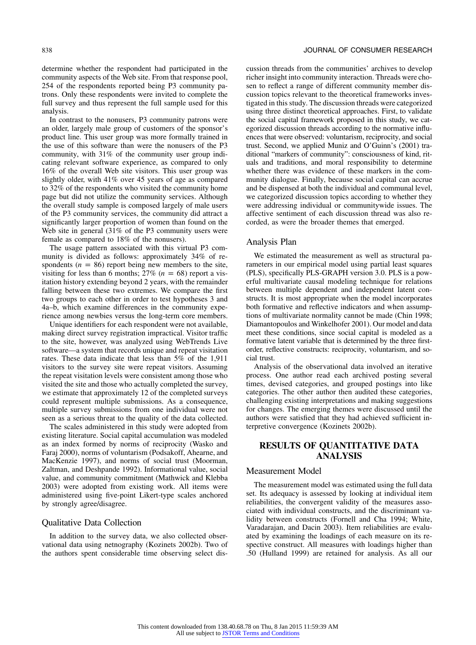determine whether the respondent had participated in the community aspects of the Web site. From that response pool, 254 of the respondents reported being P3 community patrons. Only these respondents were invited to complete the full survey and thus represent the full sample used for this analysis.

In contrast to the nonusers, P3 community patrons were an older, largely male group of customers of the sponsor's product line. This user group was more formally trained in the use of this software than were the nonusers of the P3 community, with 31% of the community user group indicating relevant software experience, as compared to only 16% of the overall Web site visitors. This user group was slightly older, with 41% over 45 years of age as compared to 32% of the respondents who visited the community home page but did not utilize the community services. Although the overall study sample is composed largely of male users of the P3 community services, the community did attract a significantly larger proportion of women than found on the Web site in general (31% of the P3 community users were female as compared to 18% of the nonusers).

The usage pattern associated with this virtual P3 community is divided as follows: approximately 34% of respondents ( $n = 86$ ) report being new members to the site, visiting for less than 6 months;  $27\%$  ( $n = 68$ ) report a visitation history extending beyond 2 years, with the remainder falling between these two extremes. We compare the first two groups to each other in order to test hypotheses 3 and 4a–b, which examine differences in the community experience among newbies versus the long-term core members.

Unique identifiers for each respondent were not available, making direct survey registration impractical. Visitor traffic to the site, however, was analyzed using WebTrends Live software—a system that records unique and repeat visitation rates. These data indicate that less than 5% of the 1,911 visitors to the survey site were repeat visitors. Assuming the repeat visitation levels were consistent among those who visited the site and those who actually completed the survey, we estimate that approximately 12 of the completed surveys could represent multiple submissions. As a consequence, multiple survey submissions from one individual were not seen as a serious threat to the quality of the data collected.

The scales administered in this study were adopted from existing literature. Social capital accumulation was modeled as an index formed by norms of reciprocity (Wasko and Faraj 2000), norms of voluntarism (Podsakoff, Ahearne, and MacKenzie 1997), and norms of social trust (Moorman, Zaltman, and Deshpande 1992). Informational value, social value, and community commitment (Mathwick and Klebba 2003) were adopted from existing work. All items were administered using five-point Likert-type scales anchored by strongly agree/disagree.

# Qualitative Data Collection

In addition to the survey data, we also collected observational data using netnography (Kozinets 2002b). Two of the authors spent considerable time observing select discussion threads from the communities' archives to develop richer insight into community interaction. Threads were chosen to reflect a range of different community member discussion topics relevant to the theoretical frameworks investigated in this study. The discussion threads were categorized using three distinct theoretical approaches. First, to validate the social capital framework proposed in this study, we categorized discussion threads according to the normative influences that were observed: voluntarism, reciprocity, and social trust. Second, we applied Muniz and O'Guinn's (2001) traditional "markers of community": consciousness of kind, rituals and traditions, and moral responsibility to determine whether there was evidence of these markers in the community dialogue. Finally, because social capital can accrue and be dispensed at both the individual and communal level, we categorized discussion topics according to whether they were addressing individual or communitywide issues. The affective sentiment of each discussion thread was also recorded, as were the broader themes that emerged.

#### Analysis Plan

We estimated the measurement as well as structural parameters in our empirical model using partial least squares (PLS), specifically PLS-GRAPH version 3.0. PLS is a powerful multivariate causal modeling technique for relations between multiple dependent and independent latent constructs. It is most appropriate when the model incorporates both formative and reflective indicators and when assumptions of multivariate normality cannot be made (Chin 1998; Diamantopoulos and Winkelhofer 2001). Our model and data meet these conditions, since social capital is modeled as a formative latent variable that is determined by the three firstorder, reflective constructs: reciprocity, voluntarism, and social trust.

Analysis of the observational data involved an iterative process. One author read each archived posting several times, devised categories, and grouped postings into like categories. The other author then audited these categories, challenging existing interpretations and making suggestions for changes. The emerging themes were discussed until the authors were satisfied that they had achieved sufficient interpretive convergence (Kozinets 2002b).

# **RESULTS OF QUANTITATIVE DATA ANALYSIS**

# Measurement Model

The measurement model was estimated using the full data set. Its adequacy is assessed by looking at individual item reliabilities, the convergent validity of the measures associated with individual constructs, and the discriminant validity between constructs (Fornell and Cha 1994; White, Varadarajan, and Dacin 2003). Item reliabilities are evaluated by examining the loadings of each measure on its respective construct. All measures with loadings higher than .50 (Hulland 1999) are retained for analysis. As all our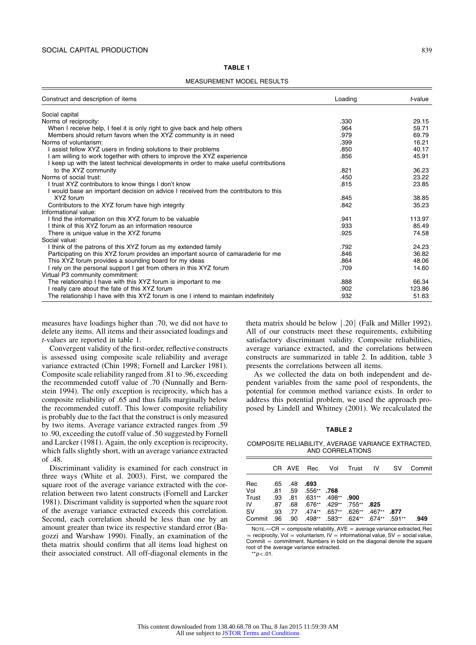#### **TABLE 1**

MEASUREMENT MODEL RESULTS

| Construct and description of items                                                     | Loading | t-value |
|----------------------------------------------------------------------------------------|---------|---------|
| Social capital                                                                         |         |         |
| Norms of reciprocity:                                                                  | .330    | 29.15   |
| When I receive help, I feel it is only right to give back and help others              | .964    | 59.71   |
| Members should return favors when the XYZ community is in need                         | .979    | 69.79   |
| Norms of voluntarism:                                                                  | .399    | 16.21   |
| I assist fellow XYZ users in finding solutions to their problems                       | .850    | 40.17   |
| am willing to work together with others to improve the XYZ experience                  | .856    | 45.91   |
| I keep up with the latest technical developments in order to make useful contributions |         |         |
| to the XYZ community                                                                   | .821    | 36.23   |
| Norms of social trust:                                                                 | .450    | 23.22   |
| I trust XYZ contributors to know things I don't know                                   | .815    | 23.85   |
| I would base an important decision on advice I received from the contributors to this  |         |         |
| XYZ forum                                                                              | .845    | 38.85   |
| Contributors to the XYZ forum have high integrity                                      | .842    | 35.23   |
| Informational value:                                                                   |         |         |
| I find the information on this XYZ forum to be valuable                                | .941    | 113.97  |
| I think of this XYZ forum as an information resource                                   | .933    | 85.49   |
| There is unique value in the XYZ forums                                                | .925    | 74.58   |
| Social value:                                                                          |         |         |
| I think of the patrons of this XYZ forum as my extended family                         | .792    | 24.23   |
| Participating on this XYZ forum provides an important source of camaraderie for me     | .846    | 36.82   |
| This XYZ forum provides a sounding board for my ideas                                  | .864    | 48.06   |
| I rely on the personal support I get from others in this XYZ forum                     | .709    | 14.60   |
| Virtual P3 community commitment:                                                       |         |         |
| The relationship I have with this XYZ forum is important to me                         | .888    | 66.34   |
| I really care about the fate of this XYZ forum                                         | .902    | 123.86  |
| The relationship I have with this XYZ forum is one I intend to maintain indefinitely   | .932    | 51.63   |

measures have loadings higher than .70, we did not have to delete any items. All items and their associated loadings and *t*-values are reported in table 1.

Convergent validity of the first-order, reflective constructs is assessed using composite scale reliability and average variance extracted (Chin 1998; Fornell and Larcker 1981). Composite scale reliability ranged from .81 to .96, exceeding the recommended cutoff value of .70 (Nunnally and Bernstein 1994). The only exception is reciprocity, which has a composite reliability of .65 and thus falls marginally below the recommended cutoff. This lower composite reliability is probably due to the fact that the construct is only measured by two items. Average variance extracted ranges from .59 to .90, exceeding the cutoff value of .50 suggested by Fornell and Larcker (1981). Again, the only exception is reciprocity, which falls slightly short, with an average variance extracted of .48.

Discriminant validity is examined for each construct in three ways (White et al. 2003). First, we compared the square root of the average variance extracted with the correlation between two latent constructs (Fornell and Larcker 1981). Discrimant validity is supported when the square root of the average variance extracted exceeds this correlation. Second, each correlation should be less than one by an amount greater than twice its respective standard error (Bagozzi and Warshaw 1990). Finally, an examination of the theta matrix should confirm that all items load highest on their associated construct. All off-diagonal elements in the theta matrix should be below  $|.20$  (Falk and Miller 1992). All of our constructs meet these requirements, exhibiting satisfactory discriminant validity. Composite reliabilities, average variance extracted, and the correlations between constructs are summarized in table 2. In addition, table 3 presents the correlations between all items.

As we collected the data on both independent and dependent variables from the same pool of respondents, the potential for common method variance exists. In order to address this potential problem, we used the approach proposed by Lindell and Whitney (2001). We recalculated the

#### **TABLE 2**

COMPOSITE RELIABILITY, AVERAGE VARIANCE EXTRACTED, AND CORRELATIONS

|                                                     |          |                                    | CR AVE Rec Vol Trust IV SV               |  | Commit |
|-----------------------------------------------------|----------|------------------------------------|------------------------------------------|--|--------|
| Rec<br>Vol<br><b>900.</b> **498. **631. 1631. Trust | .65. .48 | .693<br><b>768.</b> **556. 81. 81. |                                          |  |        |
| ΙV                                                  |          |                                    | <b>825.</b> **755. **429. **676. 68. 87. |  |        |
| .591** .074** .624** .624** .674** .674** .583      |          |                                    |                                          |  | .949   |

NOTE.—CR = composite reliability,  $AVE$  = average variance extracted, Rec = reciprocity, Vol = voluntarism, IV = informational value, SV = social value,  $Comment = commitment.$  Numbers in bold on the diagonal denote the square root of the average variance extracted.

 $*$ *r* $p$  < .01.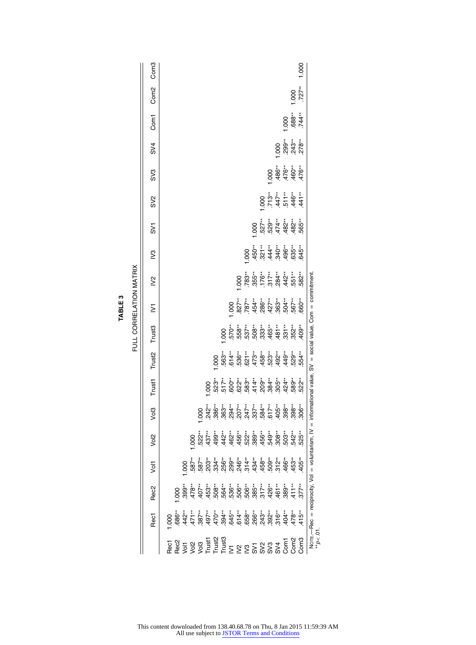|                         | Com <sub>3</sub><br>Com <sub>2</sub> |  |                                                                                                                                                                                                                                                                                                                                                                                                                                                                                                     |               |   |                                                                                                                                                                                                                                                                                                                                                      |  |                                                                                                                                                                                |  |                                                                                                                                                                                                                                                                                                                                                                                                                                    |                                        | 1.000    | 1.000<br>$.727**$ |                                                                      |
|-------------------------|--------------------------------------|--|-----------------------------------------------------------------------------------------------------------------------------------------------------------------------------------------------------------------------------------------------------------------------------------------------------------------------------------------------------------------------------------------------------------------------------------------------------------------------------------------------------|---------------|---|------------------------------------------------------------------------------------------------------------------------------------------------------------------------------------------------------------------------------------------------------------------------------------------------------------------------------------------------------|--|--------------------------------------------------------------------------------------------------------------------------------------------------------------------------------|--|------------------------------------------------------------------------------------------------------------------------------------------------------------------------------------------------------------------------------------------------------------------------------------------------------------------------------------------------------------------------------------------------------------------------------------|----------------------------------------|----------|-------------------|----------------------------------------------------------------------|
|                         | Com <sup>1</sup>                     |  |                                                                                                                                                                                                                                                                                                                                                                                                                                                                                                     |               |   |                                                                                                                                                                                                                                                                                                                                                      |  |                                                                                                                                                                                |  |                                                                                                                                                                                                                                                                                                                                                                                                                                    | 000                                    | $.588**$ |                   |                                                                      |
|                         | SV4                                  |  |                                                                                                                                                                                                                                                                                                                                                                                                                                                                                                     |               |   |                                                                                                                                                                                                                                                                                                                                                      |  |                                                                                                                                                                                |  |                                                                                                                                                                                                                                                                                                                                                                                                                                    | 00 *<br>00 *<br>00 01 01<br>1 01 01 01 |          |                   |                                                                      |
|                         | S <sub>0</sub>                       |  |                                                                                                                                                                                                                                                                                                                                                                                                                                                                                                     |               |   |                                                                                                                                                                                                                                                                                                                                                      |  |                                                                                                                                                                                |  |                                                                                                                                                                                                                                                                                                                                                                                                                                    | $-486$<br>496 $-476$<br>476 $-476$     |          |                   |                                                                      |
|                         | SV <sub>2</sub>                      |  |                                                                                                                                                                                                                                                                                                                                                                                                                                                                                                     |               |   |                                                                                                                                                                                                                                                                                                                                                      |  |                                                                                                                                                                                |  | $\begin{array}{c}\n 000 \\  713 \\  \hline\n 747 \\  \hline\n 1146 \\  \hline\n 146 \\  \hline\n 147 \\  \hline\n 147 \\  \hline\n 147 \\  \hline\n 147 \\  \hline\n 147 \\  \hline\n 147 \\  \hline\n 148 \\  \hline\n 147 \\  \hline\n 148 \\  \hline\n 149 \\  \hline\n 149 \\  \hline\n 149 \\  \hline\n 140 \\  \hline\n 140 \\  \hline\n 140 \\  \hline\n 140 \\  \hline\n 140 \\  \hline\n 140 \\  \hline\n 140 \\  \hline$ |                                        |          |                   |                                                                      |
|                         | <b>SV1</b>                           |  |                                                                                                                                                                                                                                                                                                                                                                                                                                                                                                     |               |   |                                                                                                                                                                                                                                                                                                                                                      |  |                                                                                                                                                                                |  | $000$ $0.28$ $0.27$ $0.29$ $0.29$ $0.29$ $0.29$ $0.29$ $0.29$ $0.29$ $0.29$ $0.29$ $0.29$ $0.29$ $0.29$ $0.29$ $0.29$ $0.29$ $0.29$ $0.29$ $0.29$ $0.29$ $0.29$ $0.29$ $0.29$ $0.29$ $0.29$ $0.29$ $0.29$ $0.29$ $0.29$ $0.29$                                                                                                                                                                                                     |                                        |          |                   |                                                                      |
|                         | $\mathbb{S}^2$                       |  |                                                                                                                                                                                                                                                                                                                                                                                                                                                                                                     |               |   |                                                                                                                                                                                                                                                                                                                                                      |  |                                                                                                                                                                                |  |                                                                                                                                                                                                                                                                                                                                                                                                                                    |                                        |          |                   |                                                                      |
| FULL CORRELATION MATRIX | $\geq$                               |  |                                                                                                                                                                                                                                                                                                                                                                                                                                                                                                     |               |   |                                                                                                                                                                                                                                                                                                                                                      |  | $000$ $0.83$ $0.76$ $0.76$ $0.76$ $0.76$ $0.76$ $0.76$ $0.76$ $0.76$ $0.76$ $0.76$ $0.76$                                                                                      |  |                                                                                                                                                                                                                                                                                                                                                                                                                                    |                                        |          |                   |                                                                      |
|                         | Σ                                    |  |                                                                                                                                                                                                                                                                                                                                                                                                                                                                                                     |               |   |                                                                                                                                                                                                                                                                                                                                                      |  | $\begin{array}{l} 0.000 \\ 0.027 \\ 0.074 \\ 0.074 \\ 0.074 \\ 0.074 \\ 0.074 \\ 0.074 \\ 0.074 \\ 0.074 \\ 0.000 \\ 0.000 \\ 0.000 \\ 0.000 \\ 0.000 \\ 0.000 \\ \end{array}$ |  |                                                                                                                                                                                                                                                                                                                                                                                                                                    |                                        |          |                   | national value, SV = social value, Com = commitment                  |
|                         | Trust3                               |  |                                                                                                                                                                                                                                                                                                                                                                                                                                                                                                     |               |   |                                                                                                                                                                                                                                                                                                                                                      |  |                                                                                                                                                                                |  |                                                                                                                                                                                                                                                                                                                                                                                                                                    |                                        |          |                   |                                                                      |
|                         | Trust2                               |  |                                                                                                                                                                                                                                                                                                                                                                                                                                                                                                     |               |   |                                                                                                                                                                                                                                                                                                                                                      |  |                                                                                                                                                                                |  |                                                                                                                                                                                                                                                                                                                                                                                                                                    |                                        |          |                   |                                                                      |
|                         | Trust1                               |  |                                                                                                                                                                                                                                                                                                                                                                                                                                                                                                     |               | 8 |                                                                                                                                                                                                                                                                                                                                                      |  |                                                                                                                                                                                |  |                                                                                                                                                                                                                                                                                                                                                                                                                                    |                                        |          |                   |                                                                      |
|                         | Vol3                                 |  |                                                                                                                                                                                                                                                                                                                                                                                                                                                                                                     | $\frac{0}{2}$ |   | $\frac{1}{2}$<br>$\frac{1}{2}$<br>$\frac{1}{2}$<br>$\frac{1}{2}$<br>$\frac{1}{2}$<br>$\frac{1}{2}$<br>$\frac{1}{2}$<br>$\frac{1}{2}$<br>$\frac{1}{2}$<br>$\frac{1}{2}$<br>$\frac{1}{2}$<br>$\frac{1}{2}$<br>$\frac{1}{2}$<br>$\frac{1}{2}$<br>$\frac{1}{2}$<br>$\frac{1}{2}$<br>$\frac{1}{2}$<br>$\frac{1}{2}$<br>$\frac{1}{2}$<br>$\frac{1}{2}$<br> |  |                                                                                                                                                                                |  |                                                                                                                                                                                                                                                                                                                                                                                                                                    |                                        |          |                   |                                                                      |
|                         | Vol2                                 |  |                                                                                                                                                                                                                                                                                                                                                                                                                                                                                                     |               |   |                                                                                                                                                                                                                                                                                                                                                      |  |                                                                                                                                                                                |  |                                                                                                                                                                                                                                                                                                                                                                                                                                    |                                        |          |                   |                                                                      |
|                         | Vol1                                 |  |                                                                                                                                                                                                                                                                                                                                                                                                                                                                                                     |               |   |                                                                                                                                                                                                                                                                                                                                                      |  |                                                                                                                                                                                |  |                                                                                                                                                                                                                                                                                                                                                                                                                                    |                                        |          |                   |                                                                      |
|                         | Rec <sub>2</sub>                     |  |                                                                                                                                                                                                                                                                                                                                                                                                                                                                                                     |               |   |                                                                                                                                                                                                                                                                                                                                                      |  |                                                                                                                                                                                |  |                                                                                                                                                                                                                                                                                                                                                                                                                                    |                                        |          |                   |                                                                      |
|                         | Rec1                                 |  |                                                                                                                                                                                                                                                                                                                                                                                                                                                                                                     |               |   |                                                                                                                                                                                                                                                                                                                                                      |  |                                                                                                                                                                                |  |                                                                                                                                                                                                                                                                                                                                                                                                                                    |                                        |          |                   | Norte.—Rec = reciprocity, Vol = voluntarism, IV = inform<br>**p<.01. |
|                         |                                      |  | $\begin{array}{l} 7.89 \rightarrow 0 \\ 7.89 \rightarrow 0 \\ 7.89 \rightarrow 0 \\ 8.89 \rightarrow 0 \\ 9.89 \rightarrow 0 \\ 1.89 \rightarrow 0 \\ 1.89 \rightarrow 0 \\ 1.89 \rightarrow 0 \\ 1.89 \rightarrow 0 \\ 1.89 \rightarrow 0 \\ 1.89 \rightarrow 0 \\ 1.89 \rightarrow 0 \\ 1.89 \rightarrow 0 \\ 1.89 \rightarrow 0 \\ 1.89 \rightarrow 0 \\ 1.89 \rightarrow 0 \\ 1.89 \rightarrow 0 \\ 1.89 \rightarrow 0 \\ 1.89 \rightarrow 0 \\ 1.89 \rightarrow 0 \\ 1.89 \rightarrow 0 \\ 1.$ |               |   |                                                                                                                                                                                                                                                                                                                                                      |  |                                                                                                                                                                                |  |                                                                                                                                                                                                                                                                                                                                                                                                                                    |                                        |          |                   |                                                                      |

| ؞<br>Ξ<br>TABI | ŕ<br>٠.<br>₹<br>Ξ<br>É<br>:<br>t<br>ī<br>Ē<br>ċ |
|----------------|-------------------------------------------------|
|----------------|-------------------------------------------------|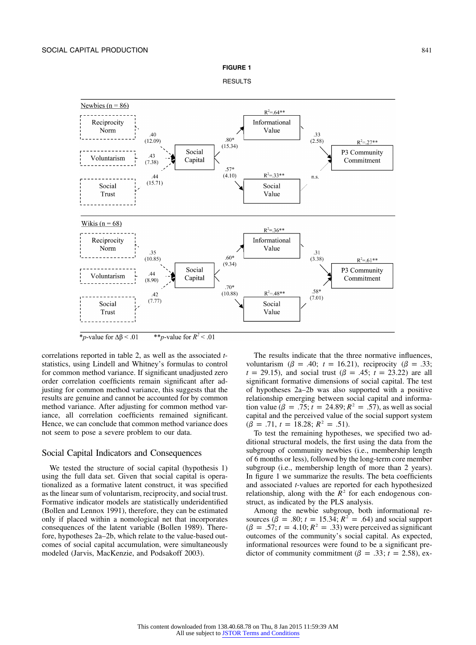

**RESULTS** 



\**p*-value for  $\Delta \beta$  < .01 \*\**p*-value for  $R^2$  < .01

correlations reported in table 2, as well as the associated *t*statistics, using Lindell and Whitney's formulas to control for common method variance. If significant unadjusted zero order correlation coefficients remain significant after adjusting for common method variance, this suggests that the results are genuine and cannot be accounted for by common method variance. After adjusting for common method variance, all correlation coefficients remained significant. Hence, we can conclude that common method variance does not seem to pose a severe problem to our data.

#### Social Capital Indicators and Consequences

We tested the structure of social capital (hypothesis 1) using the full data set. Given that social capital is operationalized as a formative latent construct, it was specified as the linear sum of voluntarism, reciprocity, and social trust. Formative indicator models are statistically underidentified (Bollen and Lennox 1991), therefore, they can be estimated only if placed within a nomological net that incorporates consequences of the latent variable (Bollen 1989). Therefore, hypotheses 2a–2b, which relate to the value-based outcomes of social capital accumulation, were simultaneously modeled (Jarvis, MacKenzie, and Podsakoff 2003).

The results indicate that the three normative influences, voluntarism ( $\beta = .40$ ;  $t = 16.21$ ), reciprocity ( $\beta = .33$ ;  $t = 29.15$ , and social trust ( $\beta = .45$ ;  $t = 23.22$ ) are all significant formative dimensions of social capital. The test of hypotheses 2a–2b was also supported with a positive relationship emerging between social capital and information value ( $\beta = .75$ ;  $t = 24.89$ ;  $R^2 = .57$ ), as well as social capital and the perceived value of the social support system  $(\beta = .71, t = 18.28; R^2 = .51).$ 

To test the remaining hypotheses, we specified two additional structural models, the first using the data from the subgroup of community newbies (i.e., membership length of 6 months or less), followed by the long-term core member subgroup (i.e., membership length of more than 2 years). In figure 1 we summarize the results. The beta coefficients and associated *t*-values are reported for each hypothesized relationship, along with the  $\mathbb{R}^2$  for each endogenous construct, as indicated by the PLS analysis.

Among the newbie subgroup, both informational resources ( $\beta = .80$ ;  $t = 15.34$ ;  $R^2 = .64$ ) and social support  $(\beta = .57; t = 4.10; R<sup>2</sup> = .33)$  were perceived as significant outcomes of the community's social capital. As expected, informational resources were found to be a significant predictor of community commitment ( $\beta = .33$ ;  $t = 2.58$ ), ex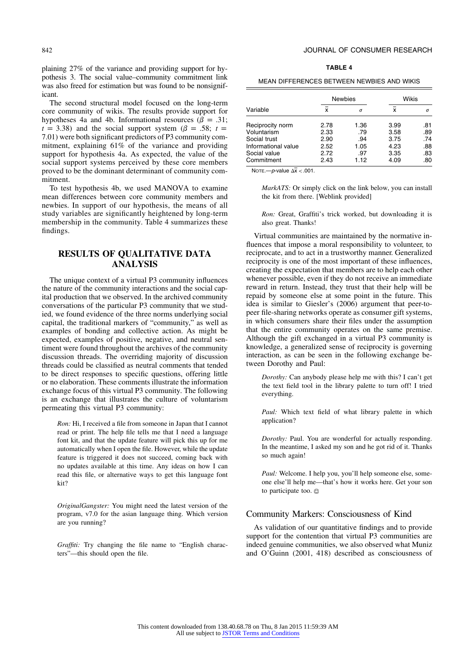plaining 27% of the variance and providing support for hypothesis 3. The social value–community commitment link was also freed for estimation but was found to be nonsignificant.

The second structural model focused on the long-term core community of wikis. The results provide support for hypotheses 4a and 4b. Informational resources ( $\beta = .31$ ;  $t = 3.38$ ) and the social support system ( $\beta = .58$ ;  $t =$ 7.01) were both significant predictors of P3 community commitment, explaining 61% of the variance and providing support for hypothesis 4a. As expected, the value of the social support systems perceived by these core members proved to be the dominant determinant of community commitment.

To test hypothesis 4b, we used MANOVA to examine mean differences between core community members and newbies. In support of our hypothesis, the means of all study variables are significantly heightened by long-term membership in the community. Table 4 summarizes these findings.

# **RESULTS OF QUALITATIVE DATA ANALYSIS**

The unique context of a virtual P3 community influences the nature of the community interactions and the social capital production that we observed. In the archived community conversations of the particular P3 community that we studied, we found evidence of the three norms underlying social capital, the traditional markers of "community," as well as examples of bonding and collective action. As might be expected, examples of positive, negative, and neutral sentiment were found throughout the archives of the community discussion threads. The overriding majority of discussion threads could be classified as neutral comments that tended to be direct responses to specific questions, offering little or no elaboration. These comments illustrate the information exchange focus of this virtual P3 community. The following is an exchange that illustrates the culture of voluntarism permeating this virtual P3 community:

*Ron:* Hi, I received a file from someone in Japan that I cannot read or print. The help file tells me that I need a language font kit, and that the update feature will pick this up for me automatically when I open the file. However, while the update feature is triggered it does not succeed, coming back with no updates available at this time. Any ideas on how I can read this file, or alternative ways to get this language font kit?

*OriginalGangster:* You might need the latest version of the program, v7.0 for the asian language thing. Which version are you running?

*Graffiti:* Try changing the file name to "English characters"—this should open the file.

| A<br>\BL |  |
|----------|--|
|----------|--|

| MEAN DIFFERENCES BETWEEN NEWBIES AND WIKIS |      |                |       |          |  |  |  |  |
|--------------------------------------------|------|----------------|-------|----------|--|--|--|--|
|                                            |      | <b>Newbies</b> | Wikis |          |  |  |  |  |
| Variable                                   | x    | σ              | x     | $\sigma$ |  |  |  |  |
| Reciprocity norm                           | 2.78 | 1.36           | 3.99  | .81      |  |  |  |  |
| Voluntarism                                | 2.33 | .79            | 3.58  | .89      |  |  |  |  |
| Social trust                               | 2.90 | .94            | 3.75  | .74      |  |  |  |  |
| Informational value                        | 2.52 | 1.05           | 4.23  | .88      |  |  |  |  |
| Social value                               | 2.72 | .97            | 3.35  | .83      |  |  |  |  |
| Commitment                                 | 2.43 | 1.12           | 4.09  | .80      |  |  |  |  |

Note  $-p$ -value  $\Delta x < .001$ .

*MarkATS:* Or simply click on the link below, you can install the kit from there. [Weblink provided]

*Ron:* Great, Graffiti's trick worked, but downloading it is also great. Thanks!

Virtual communities are maintained by the normative influences that impose a moral responsibility to volunteer, to reciprocate, and to act in a trustworthy manner. Generalized reciprocity is one of the most important of these influences, creating the expectation that members are to help each other whenever possible, even if they do not receive an immediate reward in return. Instead, they trust that their help will be repaid by someone else at some point in the future. This idea is similar to Giesler's (2006) argument that peer-topeer file-sharing networks operate as consumer gift systems, in which consumers share their files under the assumption that the entire community operates on the same premise. Although the gift exchanged in a virtual P3 community is knowledge, a generalized sense of reciprocity is governing interaction, as can be seen in the following exchange between Dorothy and Paul:

*Dorothy:* Can anybody please help me with this? I can't get the text field tool in the library palette to turn off! I tried everything.

*Paul:* Which text field of what library palette in which application?

*Dorothy:* Paul. You are wonderful for actually responding. In the meantime, I asked my son and he got rid of it. Thanks so much again!

Paul: Welcome. I help you, you'll help someone else, someone else'll help me—that's how it works here. Get your son to participate too.

#### Community Markers: Consciousness of Kind

As validation of our quantitative findings and to provide support for the contention that virtual P3 communities are indeed genuine communities, we also observed what Muniz and O'Guinn (2001, 418) described as consciousness of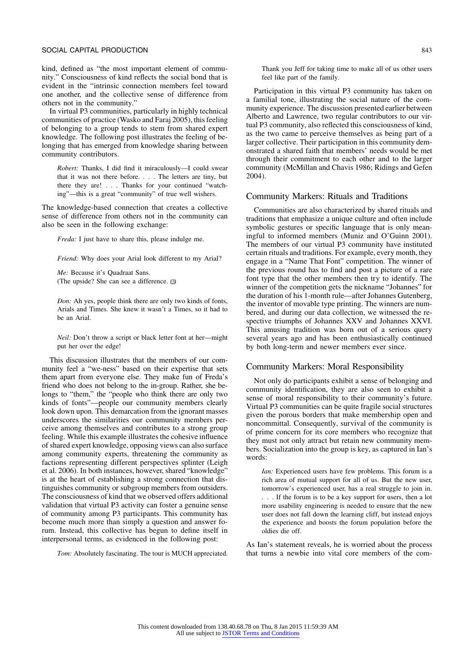kind, defined as "the most important element of community." Consciousness of kind reflects the social bond that is evident in the "intrinsic connection members feel toward one another, and the collective sense of difference from others not in the community."

In virtual P3 communities, particularly in highly technical communities of practice (Wasko and Faraj 2005), this feeling of belonging to a group tends to stem from shared expert knowledge. The following post illustrates the feeling of belonging that has emerged from knowledge sharing between community contributors.

*Robert:* Thanks, I did find it miraculously—I could swear that it was not there before. . . . The letters are tiny, but there they are! . . . Thanks for your continued "watching"—this is a great "community" of true well wishers.

The knowledge-based connection that creates a collective sense of difference from others not in the community can also be seen in the following exchange:

*Freda:* I just have to share this, please indulge me.

*Friend:* Why does your Arial look different to my Arial?

*Me:* Because it's Quadraat Sans. (The upside? She can see a difference.  $\circledcirc$ )

*Don:* Ah yes, people think there are only two kinds of fonts, Arials and Times. She knew it wasn't a Times, so it had to be an Arial.

*Neil:* Don't throw a script or black letter font at her—might put her over the edge!

This discussion illustrates that the members of our community feel a "we-ness" based on their expertise that sets them apart from everyone else. They make fun of Freda's friend who does not belong to the in-group. Rather, she belongs to "them," the "people who think there are only two kinds of fonts"—people our community members clearly look down upon. This demarcation from the ignorant masses underscores the similarities our community members perceive among themselves and contributes to a strong group feeling. While this example illustrates the cohesive influence of shared expert knowledge, opposing views can also surface among community experts, threatening the community as factions representing different perspectives splinter (Leigh et al. 2006). In both instances, however, shared "knowledge" is at the heart of establishing a strong connection that distinguishes community or subgroup members from outsiders. The consciousness of kind that we observed offers additional validation that virtual P3 activity can foster a genuine sense of community among P3 participants. This community has become much more than simply a question and answer forum. Instead, this collective has begun to define itself in interpersonal terms, as evidenced in the following post:

*Tom:* Absolutely fascinating. The tour is MUCH appreciated.

Thank you Jeff for taking time to make all of us other users feel like part of the family.

Participation in this virtual P3 community has taken on a familial tone, illustrating the social nature of the community experience. The discussion presented earlier between Alberto and Lawrence, two regular contributors to our virtual P3 community, also reflected this consciousness of kind, as the two came to perceive themselves as being part of a larger collective. Their participation in this community demonstrated a shared faith that members' needs would be met through their commitment to each other and to the larger community (McMillan and Chavis 1986; Ridings and Gefen 2004).

### Community Markers: Rituals and Traditions

Communities are also characterized by shared rituals and traditions that emphasize a unique culture and often include symbolic gestures or specific language that is only meaningful to informed members (Muniz and O'Guinn 2001). The members of our virtual P3 community have instituted certain rituals and traditions. For example, every month, they engage in a "Name That Font" competition. The winner of the previous round has to find and post a picture of a rare font type that the other members then try to identify. The winner of the competition gets the nickname "Johannes" for the duration of his 1-month rule—after Johannes Gutenberg, the inventor of movable type printing. The winners are numbered, and during our data collection, we witnessed the respective triumphs of Johannes XXV and Johannes XXVI. This amusing tradition was born out of a serious query several years ago and has been enthusiastically continued by both long-term and newer members ever since.

#### Community Markers: Moral Responsibility

Not only do participants exhibit a sense of belonging and community identification, they are also seen to exhibit a sense of moral responsibility to their community's future. Virtual P3 communities can be quite fragile social structures given the porous borders that make membership open and noncommittal. Consequently, survival of the community is of prime concern for its core members who recognize that they must not only attract but retain new community members. Socialization into the group is key, as captured in Ian's words:

*Ian:* Experienced users have few problems. This forum is a rich area of mutual support for all of us. But the new user, tomorrow's experienced user, has a real struggle to join in. . . . If the forum is to be a key support for users, then a lot more usability engineering is needed to ensure that the new user does not fall down the learning cliff, but instead enjoys the experience and boosts the forum population before the oldies die off.

As Ian's statement reveals, he is worried about the process that turns a newbie into vital core members of the com-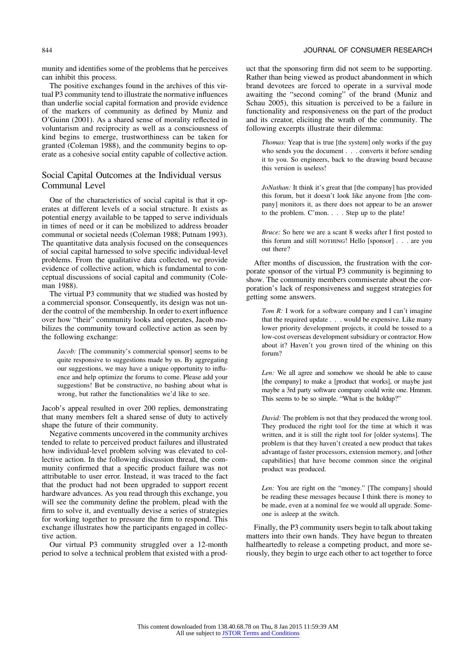#### 844 JOURNAL OF CONSUMER RESEARCH

munity and identifies some of the problems that he perceives can inhibit this process.

The positive exchanges found in the archives of this virtual P3 community tend to illustrate the normative influences than underlie social capital formation and provide evidence of the markers of community as defined by Muniz and O'Guinn (2001). As a shared sense of morality reflected in voluntarism and reciprocity as well as a consciousness of kind begins to emerge, trustworthiness can be taken for granted (Coleman 1988), and the community begins to operate as a cohesive social entity capable of collective action.

# Social Capital Outcomes at the Individual versus Communal Level

One of the characteristics of social capital is that it operates at different levels of a social structure. It exists as potential energy available to be tapped to serve individuals in times of need or it can be mobilized to address broader communal or societal needs (Coleman 1988; Putnam 1993). The quantitative data analysis focused on the consequences of social capital harnessed to solve specific individual-level problems. From the qualitative data collected, we provide evidence of collective action, which is fundamental to conceptual discussions of social capital and community (Coleman 1988).

The virtual P3 community that we studied was hosted by a commercial sponsor. Consequently, its design was not under the control of the membership. In order to exert influence over how "their" community looks and operates, Jacob mobilizes the community toward collective action as seen by the following exchange:

*Jacob:* [The community's commercial sponsor] seems to be quite responsive to suggestions made by us. By aggregating our suggestions, we may have a unique opportunity to influence and help optimize the forums to come. Please add your suggestions! But be constructive, no bashing about what is wrong, but rather the functionalities we'd like to see.

Jacob's appeal resulted in over 200 replies, demonstrating that many members felt a shared sense of duty to actively shape the future of their community.

Negative comments uncovered in the community archives tended to relate to perceived product failures and illustrated how individual-level problem solving was elevated to collective action. In the following discussion thread, the community confirmed that a specific product failure was not attributable to user error. Instead, it was traced to the fact that the product had not been upgraded to support recent hardware advances. As you read through this exchange, you will see the community define the problem, plead with the firm to solve it, and eventually devise a series of strategies for working together to pressure the firm to respond. This exchange illustrates how the participants engaged in collective action.

Our virtual P3 community struggled over a 12-month period to solve a technical problem that existed with a product that the sponsoring firm did not seem to be supporting. Rather than being viewed as product abandonment in which brand devotees are forced to operate in a survival mode awaiting the "second coming" of the brand (Muniz and Schau 2005), this situation is perceived to be a failure in functionality and responsiveness on the part of the product and its creator, eliciting the wrath of the community. The following excerpts illustrate their dilemma:

*Thomas:* Yeap that is true [the system] only works if the guy who sends you the document . . . converts it before sending it to you. So engineers, back to the drawing board because this version is useless!

*JoNathan:* It think it's great that [the company] has provided this forum, but it doesn't look like anyone from [the company] monitors it, as there does not appear to be an answer to the problem. C'mon. . . . Step up to the plate!

*Bruce:* So here we are a scant 8 weeks after I first posted to this forum and still NOTHING! Hello [sponsor]  $\ldots$  are you out there?

After months of discussion, the frustration with the corporate sponsor of the virtual P3 community is beginning to show. The community members commiserate about the corporation's lack of responsiveness and suggest strategies for getting some answers.

*Tom R:* I work for a software company and I can't imagine that the required update . . . would be expensive. Like many lower priority development projects, it could be tossed to a low-cost overseas development subsidiary or contractor. How about it? Haven't you grown tired of the whining on this forum?

*Len:* We all agree and somehow we should be able to cause [the company] to make a [product that works], or maybe just maybe a 3rd party software company could write one. Hmmm. This seems to be so simple. "What is the holdup?"

*David:* The problem is not that they produced the wrong tool. They produced the right tool for the time at which it was written, and it is still the right tool for [older systems]. The problem is that they haven't created a new product that takes advantage of faster processors, extension memory, and [other capabilities] that have become common since the original product was produced.

*Len:* You are right on the "money." [The company] should be reading these messages because I think there is money to be made, even at a nominal fee we would all upgrade. Someone is asleep at the switch.

Finally, the P3 community users begin to talk about taking matters into their own hands. They have begun to threaten halfheartedly to release a competing product, and more seriously, they begin to urge each other to act together to force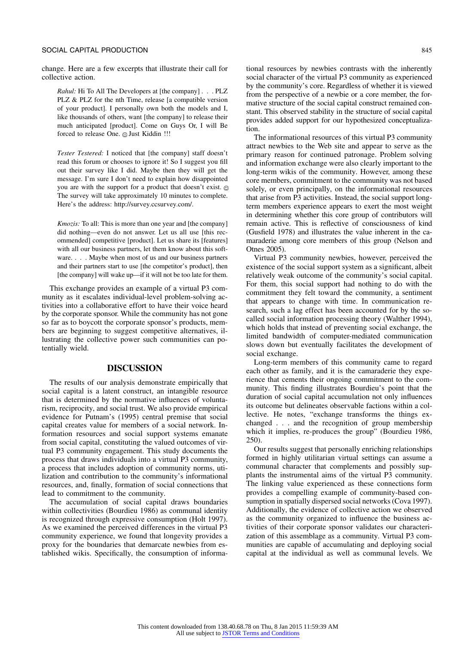change. Here are a few excerpts that illustrate their call for collective action.

*Rahul:* Hi To All The Developers at [the company] . . . PLZ PLZ & PLZ for the nth Time, release [a compatible version of your product]. I personally own both the models and I, like thousands of others, want [the company] to release their much anticipated [product]. Come on Guys Or, I will Be forced to release One. @ Just Kiddin !!!

*Tester Testered:* I noticed that [the company] staff doesn't read this forum or chooses to ignore it! So I suggest you fill out their survey like I did. Maybe then they will get the message. I'm sure I don't need to explain how disappointed you are with the support for a product that doesn't exist. The survey will take approximately 10 minutes to complete. Here's the address: http://survey.ccsurvey.com/.

*Kmozis:* To all: This is more than one year and [the company] did nothing—even do not answer. Let us all use [this recommended] competitive [product]. Let us share its [features] with all our business partners, let them know about this software. . . . Maybe when most of us and our business partners and their partners start to use [the competitor's product], then [the company] will wake up—if it will not be too late for them.

This exchange provides an example of a virtual P3 community as it escalates individual-level problem-solving activities into a collaborative effort to have their voice heard by the corporate sponsor. While the community has not gone so far as to boycott the corporate sponsor's products, members are beginning to suggest competitive alternatives, illustrating the collective power such communities can potentially wield.

### **DISCUSSION**

The results of our analysis demonstrate empirically that social capital is a latent construct, an intangible resource that is determined by the normative influences of voluntarism, reciprocity, and social trust. We also provide empirical evidence for Putnam's (1995) central premise that social capital creates value for members of a social network. Information resources and social support systems emanate from social capital, constituting the valued outcomes of virtual P3 community engagement. This study documents the process that draws individuals into a virtual P3 community, a process that includes adoption of community norms, utilization and contribution to the community's informational resources, and, finally, formation of social connections that lead to commitment to the community.

The accumulation of social capital draws boundaries within collectivities (Bourdieu 1986) as communal identity is recognized through expressive consumption (Holt 1997). As we examined the perceived differences in the virtual P3 community experience, we found that longevity provides a proxy for the boundaries that demarcate newbies from established wikis. Specifically, the consumption of informational resources by newbies contrasts with the inherently social character of the virtual P3 community as experienced by the community's core. Regardless of whether it is viewed from the perspective of a newbie or a core member, the formative structure of the social capital construct remained constant. This observed stability in the structure of social capital provides added support for our hypothesized conceptualization.

The informational resources of this virtual P3 community attract newbies to the Web site and appear to serve as the primary reason for continued patronage. Problem solving and information exchange were also clearly important to the long-term wikis of the community. However, among these core members, commitment to the community was not based solely, or even principally, on the informational resources that arise from P3 activities. Instead, the social support longterm members experience appears to exert the most weight in determining whether this core group of contributors will remain active. This is reflective of consciousness of kind (Gusfield 1978) and illustrates the value inherent in the camaraderie among core members of this group (Nelson and Otnes 2005).

Virtual P3 community newbies, however, perceived the existence of the social support system as a significant, albeit relatively weak outcome of the community's social capital. For them, this social support had nothing to do with the commitment they felt toward the community, a sentiment that appears to change with time. In communication research, such a lag effect has been accounted for by the socalled social information processing theory (Walther 1994), which holds that instead of preventing social exchange, the limited bandwidth of computer-mediated communication slows down but eventually facilitates the development of social exchange.

Long-term members of this community came to regard each other as family, and it is the camaraderie they experience that cements their ongoing commitment to the community. This finding illustrates Bourdieu's point that the duration of social capital accumulation not only influences its outcome but delineates observable factions within a collective. He notes, "exchange transforms the things exchanged . . . and the recognition of group membership which it implies, re-produces the group" (Bourdieu 1986, 250).

Our results suggest that personally enriching relationships formed in highly utilitarian virtual settings can assume a communal character that complements and possibly supplants the instrumental aims of the virtual P3 community. The linking value experienced as these connections form provides a compelling example of community-based consumption in spatially dispersed social networks (Cova 1997). Additionally, the evidence of collective action we observed as the community organized to influence the business activities of their corporate sponsor validates our characterization of this assemblage as a community. Virtual P3 communities are capable of accumulating and deploying social capital at the individual as well as communal levels. We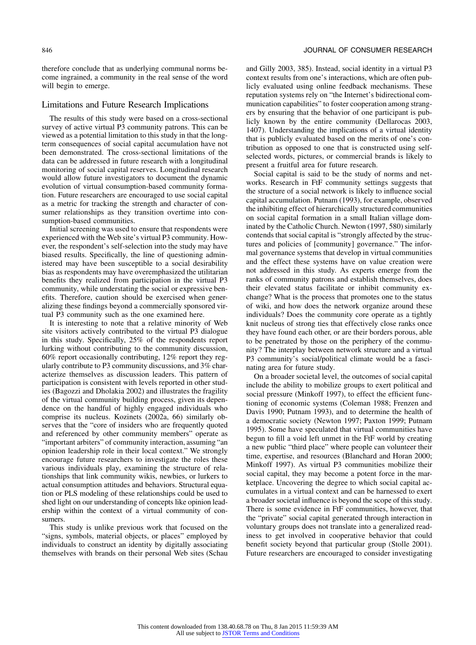therefore conclude that as underlying communal norms become ingrained, a community in the real sense of the word will begin to emerge.

# Limitations and Future Research Implications

The results of this study were based on a cross-sectional survey of active virtual P3 community patrons. This can be viewed as a potential limitation to this study in that the longterm consequences of social capital accumulation have not been demonstrated. The cross-sectional limitations of the data can be addressed in future research with a longitudinal monitoring of social capital reserves. Longitudinal research would allow future investigators to document the dynamic evolution of virtual consumption-based community formation. Future researchers are encouraged to use social capital as a metric for tracking the strength and character of consumer relationships as they transition overtime into consumption-based communities.

Initial screening was used to ensure that respondents were experienced with the Web site's virtual P3 community. However, the respondent's self-selection into the study may have biased results. Specifically, the line of questioning administered may have been susceptible to a social desirability bias as respondents may have overemphasized the utilitarian benefits they realized from participation in the virtual P3 community, while understating the social or expressive benefits. Therefore, caution should be exercised when generalizing these findings beyond a commercially sponsored virtual P3 community such as the one examined here.

It is interesting to note that a relative minority of Web site visitors actively contributed to the virtual P3 dialogue in this study. Specifically, 25% of the respondents report lurking without contributing to the community discussion, 60% report occasionally contributing, 12% report they regularly contribute to P3 community discussions, and 3% characterize themselves as discussion leaders. This pattern of participation is consistent with levels reported in other studies (Bagozzi and Dholakia 2002) and illustrates the fragility of the virtual community building process, given its dependence on the handful of highly engaged individuals who comprise its nucleus. Kozinets (2002a, 66) similarly observes that the "core of insiders who are frequently quoted and referenced by other community members" operate as "important arbiters" of community interaction, assuming "an opinion leadership role in their local context." We strongly encourage future researchers to investigate the roles these various individuals play, examining the structure of relationships that link community wikis, newbies, or lurkers to actual consumption attitudes and behaviors. Structural equation or PLS modeling of these relationships could be used to shed light on our understanding of concepts like opinion leadership within the context of a virtual community of consumers.

This study is unlike previous work that focused on the "signs, symbols, material objects, or places" employed by individuals to construct an identity by digitally associating themselves with brands on their personal Web sites (Schau and Gilly 2003, 385). Instead, social identity in a virtual P3 context results from one's interactions, which are often publicly evaluated using online feedback mechanisms. These reputation systems rely on "the Internet's bidirectional communication capabilities" to foster cooperation among strangers by ensuring that the behavior of one participant is publicly known by the entire community (Dellarocas 2003, 1407). Understanding the implications of a virtual identity that is publicly evaluated based on the merits of one's contribution as opposed to one that is constructed using selfselected words, pictures, or commercial brands is likely to present a fruitful area for future research.

Social capital is said to be the study of norms and networks. Research in FtF community settings suggests that the structure of a social network is likely to influence social capital accumulation. Putnam (1993), for example, observed the inhibiting effect of hierarchically structured communities on social capital formation in a small Italian village dominated by the Catholic Church. Newton (1997, 580) similarly contends that social capital is "strongly affected by the structures and policies of [community] governance." The informal governance systems that develop in virtual communities and the effect these systems have on value creation were not addressed in this study. As experts emerge from the ranks of community patrons and establish themselves, does their elevated status facilitate or inhibit community exchange? What is the process that promotes one to the status of wiki, and how does the network organize around these individuals? Does the community core operate as a tightly knit nucleus of strong ties that effectively close ranks once they have found each other, or are their borders porous, able to be penetrated by those on the periphery of the community? The interplay between network structure and a virtual P3 community's social/political climate would be a fascinating area for future study.

On a broader societal level, the outcomes of social capital include the ability to mobilize groups to exert political and social pressure (Minkoff 1997), to effect the efficient functioning of economic systems (Coleman 1988; Frenzen and Davis 1990; Putnam 1993), and to determine the health of a democratic society (Newton 1997; Paxton 1999; Putnam 1995). Some have speculated that virtual communities have begun to fill a void left unmet in the FtF world by creating a new public "third place" where people can volunteer their time, expertise, and resources (Blanchard and Horan 2000; Minkoff 1997). As virtual P3 communities mobilize their social capital, they may become a potent force in the marketplace. Uncovering the degree to which social capital accumulates in a virtual context and can be harnessed to exert a broader societal influence is beyond the scope of this study. There is some evidence in FtF communities, however, that the "private" social capital generated through interaction in voluntary groups does not translate into a generalized readiness to get involved in cooperative behavior that could benefit society beyond that particular group (Stolle 2001). Future researchers are encouraged to consider investigating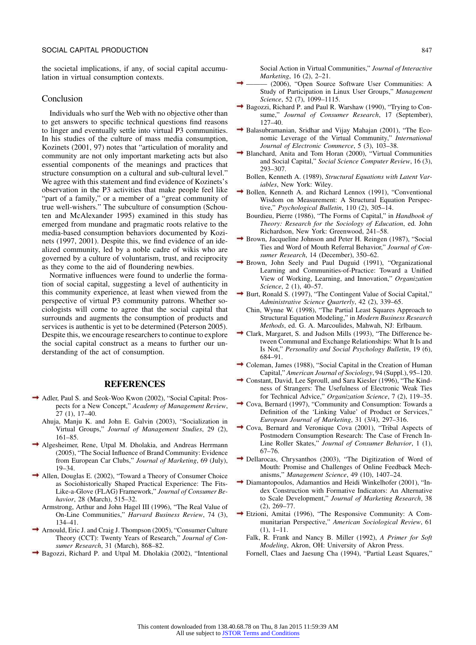the societal implications, if any, of social capital accumulation in virtual consumption contexts.

#### Conclusion

Individuals who surf the Web with no objective other than to get answers to specific technical questions find reasons to linger and eventually settle into virtual P3 communities. In his studies of the culture of mass media consumption, Kozinets (2001, 97) notes that "articulation of morality and community are not only important marketing acts but also essential components of the meanings and practices that structure consumption on a cultural and sub-cultural level." We agree with this statement and find evidence of Kozinets's observation in the P3 activities that make people feel like "part of a family," or a member of a "great community of true well-wishers." The subculture of consumption (Schouten and McAlexander 1995) examined in this study has emerged from mundane and pragmatic roots relative to the media-based consumption behaviors documented by Kozinets (1997, 2001). Despite this, we find evidence of an idealized community, led by a noble cadre of wikis who are governed by a culture of voluntarism, trust, and reciprocity as they come to the aid of floundering newbies.

Normative influences were found to underlie the formation of social capital, suggesting a level of authenticity in this community experience, at least when viewed from the perspective of virtual P3 community patrons. Whether sociologists will come to agree that the social capital that surrounds and augments the consumption of products and services is authentic is yet to be determined (Peterson 2005). Despite this, we encourage researchers to continue to explore the social capital construct as a means to further our understanding of the act of consumption.

#### **REFERENCES**

- Adler, Paul S. and Seok-Woo Kwon (2002), "Social Capital: Prospects for a New Concept," *Academy of Management Review*, 27 (1), 17–40.
	- Ahuja, Manju K. and John E. Galvin (2003), "Socialization in Virtual Groups," *Journal of Management Studies*, 29 (2), 161–85.
- Algesheimer, Rene, Utpal M. Dholakia, and Andreas Herrmann (2005), "The Social Influence of Brand Community: Evidence from European Car Clubs," *Journal of Marketing*, 69 (July), 19–34.
- Allen, Douglas E. (2002), "Toward a Theory of Consumer Choice as Sociohistorically Shaped Practical Experience: The Fits-Like-a-Glove (FLAG) Framework," *Journal of Consumer Behavior*, 28 (March), 515–32.
	- Armstrong, Arthur and John Hagel III (1996), "The Real Value of On-Line Communities," *Harvard Business Review*, 74 (3), 134–41.
- Arnould, Eric J. and Craig J. Thompson (2005), "Consumer Culture Theory (CCT): Twenty Years of Research," *Journal of Consumer Research*, 31 (March), 868–82.
- Bagozzi, Richard P. and Utpal M. Dholakia (2002), "Intentional

Social Action in Virtual Communities," *Journal of Interactive Marketing*, 16 (2), 2–21.

- ——— (2006), "Open Source Software User Communities: A Study of Participation in Linux User Groups," *Management Science*, 52 (7), 1099–1115.
- → Bagozzi, Richard P. and Paul R. Warshaw (1990), "Trying to Consume," *Journal of Consumer Research*, 17 (September), 127–40.
- Balasubramanian, Sridhar and Vijay Mahajan (2001), "The Economic Leverage of the Virtual Community," *International Journal of Electronic Commerce*, 5 (3), 103–38.
- Blanchard, Anita and Tom Horan (2000), "Virtual Communities and Social Capital," *Social Science Computer Review*, 16 (3), 293–307.
	- Bollen, Kenneth A. (1989), *Structural Equations with Latent Variables*, New York: Wiley.
- Bollen, Kenneth A. and Richard Lennox (1991), "Conventional Wisdom on Measurement: A Structural Equation Perspective," *Psychological Bulletin*, 110 (2), 305–14.
	- Bourdieu, Pierre (1986), "The Forms of Capital," in *Handbook of Theory: Research for the Sociology of Education*, ed. John Richardson, New York: Greenwood, 241–58.
- $\rightarrow$  Brown, Jacqueline Johnson and Peter H. Reingen (1987), "Social Ties and Word of Mouth Referral Behavior," *Journal of Consumer Research*, 14 (December), 350–62.
- Brown, John Seely and Paul Duguid (1991), "Organizational Learning and Communities-of-Practice: Toward a Unified View of Working, Learning, and Innovation," *Organization Science*, 2 (1), 40–57.
- $\rightarrow$  Burt, Ronald S. (1997), "The Contingent Value of Social Capital," *Administrative Science Quarterly*, 42 (2), 339–65.
	- Chin, Wynne W. (1998), "The Partial Least Squares Approach to Structural Equation Modeling," in *Modern Business Research Methods*, ed. G. A. Marcoulides, Mahwah, NJ: Erlbaum.
- Clark, Margaret, S. and Judson Mills (1993), "The Difference between Communal and Exchange Relationships: What It Is and Is Not," *Personality and Social Psychology Bulletin*, 19 (6), 684–91.
- Coleman, James (1988), "Social Capital in the Creation of Human Capital," *American Journal of Sociology*, 94 (Suppl.), 95–120.
- Constant, David, Lee Sproull, and Sara Kiesler (1996), "The Kindness of Strangers: The Usefulness of Electronic Weak Ties for Technical Advice," *Organization Science*, 7 (2), 119–35.
- Cova, Bernard (1997), "Community and Consumption: Towards a Definition of the 'Linking Value' of Product or Services," *European Journal of Marketing*, 31 (3/4), 297–316.
- Cova, Bernard and Veronique Cova (2001), "Tribal Aspects of Postmodern Consumption Research: The Case of French In-Line Roller Skates," *Journal of Consumer Behavior*, 1 (1), 67–76.
- → Dellarocas, Chrysanthos (2003), "The Digitization of Word of Mouth: Promise and Challenges of Online Feedback Mechanisms," *Management Science*, 49 (10), 1407–24.
- Diamantopoulos, Adamantios and Heidi Winkelhofer (2001), "Index Construction with Formative Indicators: An Alternative to Scale Development," *Journal of Marketing Research*, 38 (2), 269–77.
- Etzioni, Amitai (1996), "The Responsive Community: A Communitarian Perspective," *American Sociological Review*, 61 (1), 1–11.
	- Falk, R. Frank and Nancy B. Miller (1992), *A Primer for Soft Modeling*, Akron, OH: University of Akron Press.
	- Fornell, Claes and Jaesung Cha (1994), "Partial Least Squares,"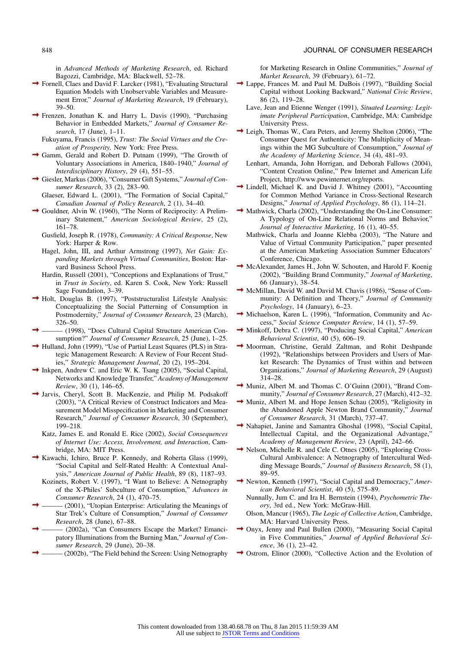in *Advanced Methods of Marketing Research*, ed. Richard Bagozzi, Cambridge, MA: Blackwell, 52–78.

- Fornell, Claes and David F. Larcker (1981), "Evaluating Structural Equation Models with Unobservable Variables and Measurement Error," *Journal of Marketing Research*, 19 (February), 39–50.
- Frenzen, Jonathan K. and Harry L. Davis (1990), "Purchasing Behavior in Embedded Markets," *Journal of Consumer Research*, 17 (June), 1–11.
	- Fukuyama, Francis (1995), *Trust: The Social Virtues and the Creation of Prosperity,* New York: Free Press.
- Gamm, Gerald and Robert D. Putnam (1999), "The Growth of Voluntary Associations in America, 1840–1940," *Journal of Interdisciplinary History*, 29 (4), 551–55.
- Giesler, Markus (2006), "Consumer Gift Systems," *Journal of Consumer Research*, 33 (2), 283–90.
	- Glaeser, Edward L. (2001), "The Formation of Social Capital," *Canadian Journal of Policy Research*, 2 (1), 34–40.
- Gouldner, Alvin W. (1960), "The Norm of Reciprocity: A Preliminary Statement," *American Sociological Review*, 25 (2), 161–78.
	- Gusfield, Joseph R. (1978), *Community: A Critical Response*, New York: Harper & Row.
	- Hagel, John, III, and Arthur Armstrong (1997), *Net Gain: Expanding Markets through Virtual Communities*, Boston: Harvard Business School Press.
	- Hardin, Russell (2001), "Conceptions and Explanations of Trust," in *Trust in Society*, ed. Karen S. Cook, New York: Russell Sage Foundation, 3–39.
- $\rightarrow$  Holt, Douglas B. (1997), "Poststructuralist Lifestyle Analysis: Conceptualizing the Social Patterning of Consumption in Postmodernity," *Journal of Consumer Research*, 23 (March), 326–50.
- ——— (1998), "Does Cultural Capital Structure American Consumption?" *Journal of Consumer Research*, 25 (June), 1–25.
- Hulland, John (1999), "Use of Partial Least Squares (PLS) in Strategic Management Research: A Review of Four Recent Studies," *Strategic Management Journal*, 20 (2), 195–204.
- Inkpen, Andrew C. and Eric W. K. Tsang (2005), "Social Capital, Networks and Knowledge Transfer," *Academy of Management Review*, 30 (1), 146–65.
- Jarvis, Cheryl, Scott B. MacKenzie, and Philip M. Podsakoff (2003), "A Critical Review of Construct Indicators and Measurement Model Misspecification in Marketing and Consumer Research," *Journal of Consumer Research*, 30 (September), 199–218.
	- Katz, James E. and Ronald E. Rice (2002), *Social Consequences of Internet Use: Access, Involvement, and Interaction*, Cambridge, MA: MIT Press.
- Kawachi, Ichiro, Bruce P. Kennedy, and Roberta Glass (1999), "Social Capital and Self-Rated Health: A Contextual Analysis," *American Journal of Public Health*, 89 (8), 1187–93.
- Kozinets, Robert V. (1997), "I Want to Believe: A Netnography of the X-Philes' Subculture of Consumption," *Advances in Consumer Research*, 24 (1), 470–75.
- (2001), "Utopian Enterprise: Articulating the Meanings of Star Trek's Culture of Consumption," *Journal of Consumer Research*, 28 (June), 67–88.
- (2002a), "Can Consumers Escape the Market? Emancipatory Illuminations from the Burning Man," *Journal of Consumer Research*, 29 (June), 20–38.
- ——— (2002b), "The Field behind the Screen: Using Netnography

for Marketing Research in Online Communities," *Journal of Market Research*, 39 (February), 61–72.

- → Lappe, Frances M. and Paul M. DuBois (1997), "Building Social Capital without Looking Backward," *National Civic Review*, 86 (2), 119–28.
	- Lave, Jean and Etienne Wenger (1991), *Situated Learning: Legitimate Peripheral Participation*, Cambridge, MA: Cambridge University Press.
- Leigh, Thomas W., Cara Peters, and Jeremy Shelton (2006), "The Consumer Quest for Authenticity: The Multiplicity of Meanings within the MG Subculture of Consumption," *Journal of the Academy of Marketing Science*, 34 (4), 481–93.
- Lenhart, Amanda, John Horrigan, and Deborah Fallows (2004), "Content Creation Online," Pew Internet and American Life Project, http://www.pewinternet.org/reports.
- Lindell, Michael K. and David J. Whitney (2001), "Accounting for Common Method Variance in Cross-Sectional Research Designs," *Journal of Applied Psychology*, 86 (1), 114–21.
- Mathwick, Charla (2002), "Understanding the On-Line Consumer: A Typology of On-Line Relational Norms and Behavior," *Journal of Interactive Marketing*, 16 (1), 40–55.
	- Mathwick, Charla and Joanne Klebba (2003), "The Nature and Value of Virtual Community Participation," paper presented at the American Marketing Association Summer Educators' Conference, Chicago.
- → McAlexander, James H., John W. Schouten, and Harold F. Koenig (2002), "Building Brand Community," *Journal of Marketing*, 66 (January), 38–54.
- $\rightarrow$  McMillan, David W. and David M. Chavis (1986), "Sense of Community: A Definition and Theory," *Journal of Community Psychology*, 14 (January), 6–23.
- Michaelson, Karen L. (1996), "Information, Community and Access," *Social Science Computer Review*, 14 (1), 57–59.
- Minkoff, Debra C. (1997), "Producing Social Capital," *American Behavioral Scientist*, 40 (5), 606–19.
- Moorman, Christine, Gerald Zaltman, and Rohit Deshpande (1992), "Relationships between Providers and Users of Market Research: The Dynamics of Trust within and between Organizations," *Journal of Marketing Research*, 29 (August) 314–28.
- Muniz, Albert M. and Thomas C. O'Guinn (2001), "Brand Community," *Journal of Consumer Research*, 27 (March), 412–32.
- $\rightarrow$  Muniz, Albert M. and Hope Jensen Schau (2005), "Religiosity in the Abandoned Apple Newton Brand Community," *Journal of Consumer Research*, 31 (March), 737–47.
- Nahapiet, Janine and Samantra Ghoshal (1998), "Social Capital, Intellectual Capital, and the Organizational Advantage,' *Academy of Management Review*, 23 (April), 242–66.
- → Nelson, Michelle R. and Cele C. Otnes (2005), "Exploring Cross-Cultural Ambivalence: A Netnography of Intercultural Wedding Message Boards," *Journal of Business Research*, 58 (1), 89–95.
- Newton, Kenneth (1997), "Social Capital and Democracy," *American Behavioral Scientist*, 40 (5), 575–89.
	- Nunnally, Jum C. and Ira H. Bernstein (1994), *Psychometric Theory*, 3rd ed., New York: McGraw-Hill.
	- Olson, Mancur (1965), *The Logic of Collective Action*, Cambridge, MA: Harvard University Press.
- Onyx, Jenny and Paul Bullen (2000), "Measuring Social Capital in Five Communities," *Journal of Applied Behavioral Science*, 36 (1), 23–42.
- Ostrom, Elinor (2000), "Collective Action and the Evolution of